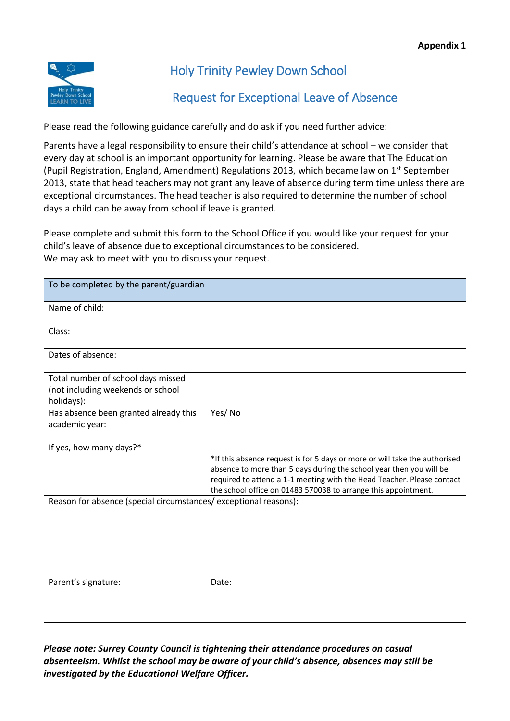

## Holy Trinity Pewley Down School

## Request for Exceptional Leave of Absence

Please read the following guidance carefully and do ask if you need further advice:

Parents have a legal responsibility to ensure their child's attendance at school – we consider that every day at school is an important opportunity for learning. Please be aware that The Education (Pupil Registration, England, Amendment) Regulations 2013, which became law on 1<sup>st</sup> September 2013, state that head teachers may not grant any leave of absence during term time unless there are exceptional circumstances. The head teacher is also required to determine the number of school days a child can be away from school if leave is granted.

Please complete and submit this form to the School Office if you would like your request for your child's leave of absence due to exceptional circumstances to be considered. We may ask to meet with you to discuss your request.

| To be completed by the parent/guardian                                                                                                                                                                                                                                                                                                                                                      |        |
|---------------------------------------------------------------------------------------------------------------------------------------------------------------------------------------------------------------------------------------------------------------------------------------------------------------------------------------------------------------------------------------------|--------|
| Name of child:                                                                                                                                                                                                                                                                                                                                                                              |        |
| Class:                                                                                                                                                                                                                                                                                                                                                                                      |        |
| Dates of absence:                                                                                                                                                                                                                                                                                                                                                                           |        |
| Total number of school days missed<br>(not including weekends or school<br>holidays):                                                                                                                                                                                                                                                                                                       |        |
| Has absence been granted already this<br>academic year:                                                                                                                                                                                                                                                                                                                                     | Yes/No |
| If yes, how many days?*<br>*If this absence request is for 5 days or more or will take the authorised<br>absence to more than 5 days during the school year then you will be<br>required to attend a 1-1 meeting with the Head Teacher. Please contact<br>the school office on 01483 570038 to arrange this appointment.<br>Reason for absence (special circumstances/exceptional reasons): |        |
|                                                                                                                                                                                                                                                                                                                                                                                             |        |
| Parent's signature:                                                                                                                                                                                                                                                                                                                                                                         | Date:  |

*Please note: Surrey County Council is tightening their attendance procedures on casual absenteeism. Whilst the school may be aware of your child's absence, absences may still be investigated by the Educational Welfare Officer.*